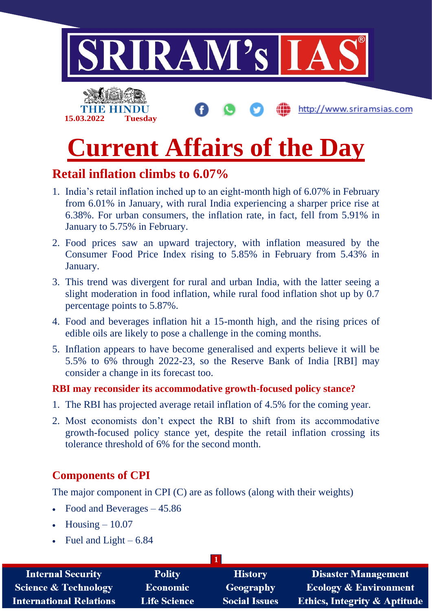

# **Retail inflation climbs to 6.07%**

- 1. India's retail inflation inched up to an eight-month high of 6.07% in February from 6.01% in January, with rural India experiencing a sharper price rise at 6.38%. For urban consumers, the inflation rate, in fact, fell from 5.91% in January to 5.75% in February.
- 2. Food prices saw an upward trajectory, with inflation measured by the Consumer Food Price Index rising to 5.85% in February from 5.43% in January.
- 3. This trend was divergent for rural and urban India, with the latter seeing a slight moderation in food inflation, while rural food inflation shot up by 0.7 percentage points to 5.87%.
- 4. Food and beverages inflation hit a 15-month high, and the rising prices of edible oils are likely to pose a challenge in the coming months.
- 5. Inflation appears to have become generalised and experts believe it will be 5.5% to 6% through 2022-23, so the Reserve Bank of India [RBI] may consider a change in its forecast too.

#### **RBI may reconsider its accommodative growth-focused policy stance?**

- 1. The RBI has projected average retail inflation of 4.5% for the coming year.
- 2. Most economists don't expect the RBI to shift from its accommodative growth-focused policy stance yet, despite the retail inflation crossing its tolerance threshold of 6% for the second month.

### **Components of CPI**

The major component in CPI (C) are as follows (along with their weights)

- Food and Beverages 45.86
- $H \text{ousing} 10.07$
- Fuel and Light  $-6.84$

| <b>Internal Security</b>        | <b>Polity</b>       | <b>History</b>       | <b>Disaster Management</b>              |
|---------------------------------|---------------------|----------------------|-----------------------------------------|
| <b>Science &amp; Technology</b> | <b>Economic</b>     | Geography            | <b>Ecology &amp; Environment</b>        |
| <b>International Relations</b>  | <b>Life Science</b> | <b>Social Issues</b> | <b>Ethics, Integrity &amp; Aptitude</b> |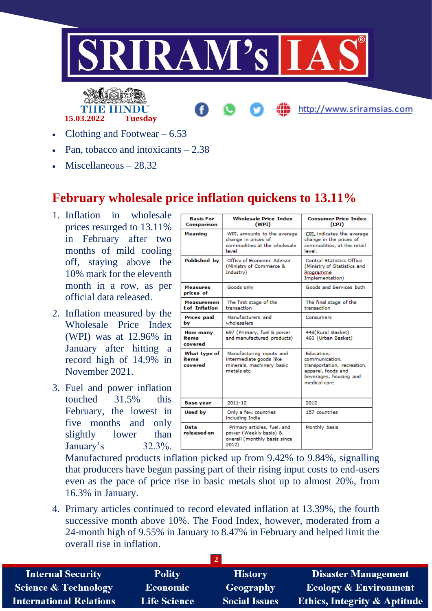



http://www.sriramsias.com

- Clothing and Footwear  $-6.53$
- Pan, tobacco and intoxicants  $-2.38$
- Miscellaneous 28.32

## **February wholesale price inflation quickens to 13.11%**

- 1. Inflation in wholesale prices resurged to 13.11% in February after two months of mild cooling off, staying above the 10% mark for the eleventh month in a row, as per official data released.
- 2. Inflation measured by the Wholesale Price Index (WPI) was at 12.96% in January after hitting a record high of 14.9% in November 2021.
- 3. Fuel and power inflation touched 31.5% this February, the lowest in five months and only slightly lower than January's 32.3%.

| <b>Basis For</b><br><b>Comparison</b> | <b>Wholesale Price Index</b><br>(WPI)                                                           | <b>Consumer Price Index</b><br>(CPI)                                                                                        |
|---------------------------------------|-------------------------------------------------------------------------------------------------|-----------------------------------------------------------------------------------------------------------------------------|
| Meaning                               | WPI, amounts to the average<br>change in prices of<br>commodities at the wholesale<br>level     | CPL indicates the average<br>change in the prices of<br>commodities, at the retail<br>level.                                |
| <b>Published</b> by                   | Office of Economic Advisor<br>(Ministry of Commerce &<br>Industry)                              | <b>Central Statistics Office</b><br>(Ministry of Statistics and<br><b>Programme</b><br>Implementation)                      |
| Measures<br>prices of                 | Goods only                                                                                      | Goods and Services both                                                                                                     |
| <b>Measuremen</b><br>t of Inflation   | The first stage of the<br>transaction                                                           | The final stage of the<br>transaction                                                                                       |
| <b>Prices paid</b><br>bv              | Manufacturers and<br>wholesalers                                                                | Consumers                                                                                                                   |
| <b>How many</b><br>items<br>covered   | 697 (Primary, fuel & power<br>and manufactured products)                                        | 448(Rural Basket)<br>460 (Urban Basket)                                                                                     |
| What type of<br>items<br>covered      | Manufacturing inputs and<br>intermediate goods like<br>minerals, machinery basic<br>metals etc. | Education,<br>communication.<br>transportation, recreation,<br>apparel, foods and<br>beverages, housing and<br>medical care |
| <b>Base year</b>                      | 2011-12                                                                                         | 2012                                                                                                                        |
| <b>Used by</b>                        | Only a few countries<br>including India                                                         | 157 countries                                                                                                               |
| Data<br>released on                   | Primary articles, fuel, and<br>power (Weekly basis) &<br>overall (monthly basis since<br>2012)  | Monthly basis                                                                                                               |

Manufactured products inflation picked up from 9.42% to 9.84%, signalling that producers have begun passing part of their rising input costs to end-users even as the pace of price rise in basic metals shot up to almost 20%, from 16.3% in January.

4. Primary articles continued to record elevated inflation at 13.39%, the fourth successive month above 10%. The Food Index, however, moderated from a 24-month high of 9.55% in January to 8.47% in February and helped limit the overall rise in inflation.

| <b>Internal Security</b>        | <b>Polity</b>       | <b>History</b>       | <b>Disaster Management</b>              |
|---------------------------------|---------------------|----------------------|-----------------------------------------|
| <b>Science &amp; Technology</b> | <b>Economic</b>     | Geography            | <b>Ecology &amp; Environment</b>        |
| <b>International Relations</b>  | <b>Life Science</b> | <b>Social Issues</b> | <b>Ethics, Integrity &amp; Aptitude</b> |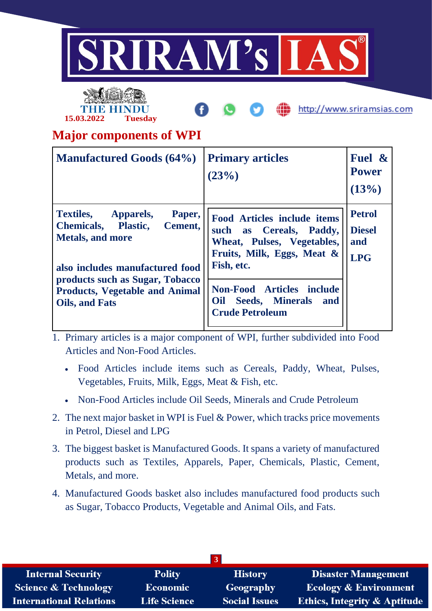



http://www.sriramsias.com

# **Major components of WPI**

| <b>Manufactured Goods (64%)</b>                                                                                                                | <b>Primary articles</b><br>(23%)                                                                                                           | Fuel &<br><b>Power</b><br>(13%)                     |
|------------------------------------------------------------------------------------------------------------------------------------------------|--------------------------------------------------------------------------------------------------------------------------------------------|-----------------------------------------------------|
| <b>Textiles,</b><br>Paper,<br>Apparels,<br><b>Chemicals, Plastic,</b><br>Cement,<br><b>Metals, and more</b><br>also includes manufactured food | <b>Food Articles include items</b><br>such as Cereals, Paddy,<br>Wheat, Pulses, Vegetables,<br>Fruits, Milk, Eggs, Meat $\&$<br>Fish, etc. | <b>Petrol</b><br><b>Diesel</b><br>and<br><b>LPG</b> |
| products such as Sugar, Tobacco<br><b>Products, Vegetable and Animal</b><br><b>Oils, and Fats</b>                                              | <b>Non-Food Articles include</b><br>Seeds, Minerals and<br>Oil<br><b>Crude Petroleum</b>                                                   |                                                     |

1. Primary articles is a major component of WPI, further subdivided into Food Articles and Non-Food Articles.

- Food Articles include items such as Cereals, Paddy, Wheat, Pulses, Vegetables, Fruits, Milk, Eggs, Meat & Fish, etc.
- Non-Food Articles include Oil Seeds, Minerals and Crude Petroleum
- 2. The next major basket in WPI is Fuel & Power, which tracks price movements in Petrol, Diesel and LPG
- 3. The biggest basket is Manufactured Goods. It spans a variety of manufactured products such as Textiles, Apparels, Paper, Chemicals, Plastic, Cement, Metals, and more.
- 4. Manufactured Goods basket also includes manufactured food products such as Sugar, Tobacco Products, Vegetable and Animal Oils, and Fats.

| <b>Internal Security</b>        | <b>Polity</b>       | <b>History</b>       | <b>Disaster Management</b>              |
|---------------------------------|---------------------|----------------------|-----------------------------------------|
| <b>Science &amp; Technology</b> | Economic            | Geography            | <b>Ecology &amp; Environment</b>        |
| <b>International Relations</b>  | <b>Life Science</b> | <b>Social Issues</b> | <b>Ethics, Integrity &amp; Aptitude</b> |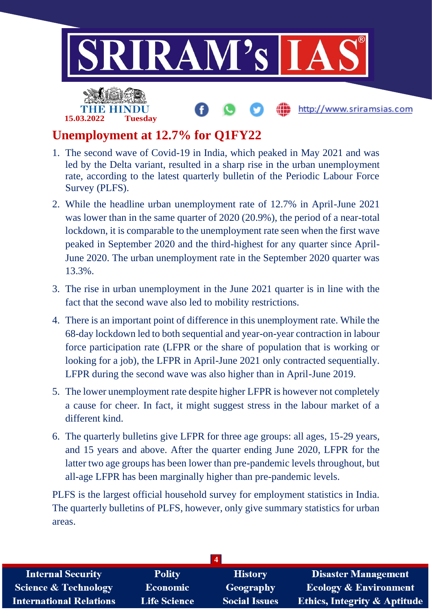

# **Unemployment at 12.7% for Q1FY22**

- 1. The second wave of Covid-19 in India, which peaked in May 2021 and was led by the Delta variant, resulted in a sharp rise in the urban unemployment rate, according to the latest quarterly bulletin of the Periodic Labour Force Survey (PLFS).
- 2. While the headline urban unemployment rate of 12.7% in April-June 2021 was lower than in the same quarter of 2020 (20.9%), the period of a near-total lockdown, it is comparable to the unemployment rate seen when the first wave peaked in September 2020 and the third-highest for any quarter since April-June 2020. The urban unemployment rate in the September 2020 quarter was 13.3%.
- 3. The rise in urban unemployment in the June 2021 quarter is in line with the fact that the second wave also led to mobility restrictions.
- 4. There is an important point of difference in this unemployment rate. While the 68-day lockdown led to both sequential and year-on-year contraction in labour force participation rate (LFPR or the share of population that is working or looking for a job), the LFPR in April-June 2021 only contracted sequentially. LFPR during the second wave was also higher than in April-June 2019.
- 5. The lower unemployment rate despite higher LFPR is however not completely a cause for cheer. In fact, it might suggest stress in the labour market of a different kind.
- 6. The quarterly bulletins give LFPR for three age groups: all ages, 15-29 years, and 15 years and above. After the quarter ending June 2020, LFPR for the latter two age groups has been lower than pre-pandemic levels throughout, but all-age LFPR has been marginally higher than pre-pandemic levels.

PLFS is the largest official household survey for employment statistics in India. The quarterly bulletins of PLFS, however, only give summary statistics for urban areas.

| <b>Internal Security</b>        | <b>Polity</b>       | <b>History</b>       | <b>Disaster Management</b>              |
|---------------------------------|---------------------|----------------------|-----------------------------------------|
| <b>Science &amp; Technology</b> | <b>Economic</b>     | <b>Geography</b>     | <b>Ecology &amp; Environment</b>        |
| <b>International Relations</b>  | <b>Life Science</b> | <b>Social Issues</b> | <b>Ethics, Integrity &amp; Aptitude</b> |
|                                 |                     |                      |                                         |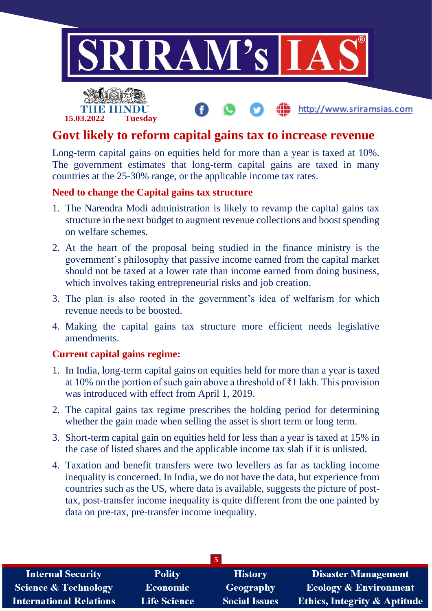

## **Govt likely to reform capital gains tax to increase revenue**

Long-term capital gains on equities held for more than a year is taxed at 10%. The government estimates that long-term capital gains are taxed in many countries at the 25-30% range, or the applicable income tax rates.

#### **Need to change the Capital gains tax structure**

- 1. The Narendra Modi administration is likely to revamp the capital gains tax structure in the next budget to augment revenue collections and boost spending on welfare schemes.
- 2. At the heart of the proposal being studied in the finance ministry is the government's philosophy that passive income earned from the capital market should not be taxed at a lower rate than income earned from doing business, which involves taking entrepreneurial risks and job creation.
- 3. The plan is also rooted in the government's idea of welfarism for which revenue needs to be boosted.
- 4. Making the capital gains tax structure more efficient needs legislative amendments.

#### **Current capital gains regime:**

**15.03.2022 Tuesday**

- 1. In India, long-term capital gains on equities held for more than a year is taxed at 10% on the portion of such gain above a threshold of ₹1 lakh. This provision was introduced with effect from April 1, 2019.
- 2. The capital gains tax regime prescribes the holding period for determining whether the gain made when selling the asset is short term or long term.
- 3. Short-term capital gain on equities held for less than a year is taxed at 15% in the case of listed shares and the applicable income tax slab if it is unlisted.
- 4. Taxation and benefit transfers were two levellers as far as tackling income inequality is concerned. In India, we do not have the data, but experience from countries such as the US, where data is available, suggests the picture of posttax, post-transfer income inequality is quite different from the one painted by data on pre-tax, pre-transfer income inequality.

| <b>Internal Security</b>        | <b>Polity</b>       | <b>History</b>       | Disaster Management                     |
|---------------------------------|---------------------|----------------------|-----------------------------------------|
| <b>Science &amp; Technology</b> | <b>Economic</b>     | Geography            | <b>Ecology &amp; Environment</b>        |
| <b>International Relations</b>  | <b>Life Science</b> | <b>Social Issues</b> | <b>Ethics, Integrity &amp; Aptitude</b> |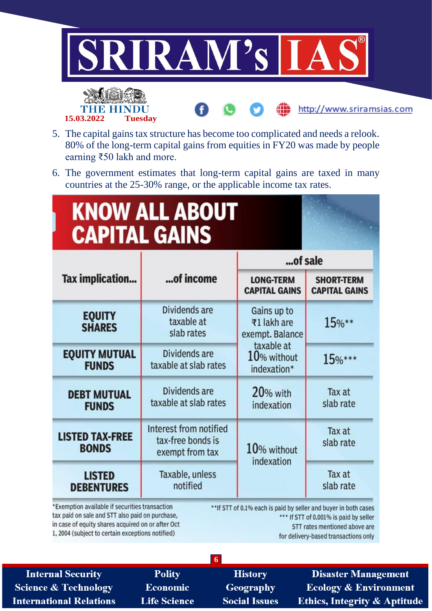

- 5. The capital gains tax structure has become too complicated and needs a relook. 80% of the long-term capital gains from equities in FY20 was made by people earning ₹50 lakh and more.
- 6. The government estimates that long-term capital gains are taxed in many countries at the 25-30% range, or the applicable income tax rates.

# **KNOW ALL ABOUT CAPITAL GAINS**

TH

15.03.2022

BELL

**Tuesday** 

|                                        |                                                                | of sale                                                |                                           |  |
|----------------------------------------|----------------------------------------------------------------|--------------------------------------------------------|-------------------------------------------|--|
| Tax implication                        | of income                                                      | <b>LONG-TERM</b><br><b>CAPITAL GAINS</b>               | <b>SHORT-TERM</b><br><b>CAPITAL GAINS</b> |  |
| <b>EQUITY</b><br><b>SHARES</b>         | Dividends are<br>taxable at<br>slab rates                      | Gains up to<br>₹1 lakh are<br>exempt. Balance          | 15%**                                     |  |
| <b>EQUITY MUTUAL</b><br><b>FUNDS</b>   | Dividends are<br>taxable at slab rates                         | taxable at<br>$10%$ without<br>$15%***$<br>indexation* |                                           |  |
| <b>DEBT MUTUAL</b><br><b>FUNDS</b>     | Dividends are<br>taxable at slab rates                         | 20% with<br>indexation                                 | Tax at<br>slab rate                       |  |
| <b>LISTED TAX-FREE</b><br><b>BONDS</b> | Interest from notified<br>tax-free bonds is<br>exempt from tax | 10% without<br>indexation                              | Tax at<br>slab rate                       |  |
| <b>LISTED</b><br><b>DEBENTURES</b>     | Taxable, unless<br>notified                                    |                                                        | Tax at<br>slab rate                       |  |

\*Exemption available if securities transaction tax paid on sale and STT also paid on purchase, in case of equity shares acquired on or after Oct 1, 2004 (subject to certain exceptions notified)

\*\* If STT of 0.1% each is paid by seller and buyer in both cases \*\*\* If STT of 0.001% is paid by seller STT rates mentioned above are for delivery-based transactions only

**Internal Security Science & Technology International Relations** 

**Polity Economic Life Science** 

**History Geography Social Issues** 

 $\overline{6}$ 

**Disaster Management Ecology & Environment Ethics, Integrity & Aptitude** 

http://www.sriramsias.com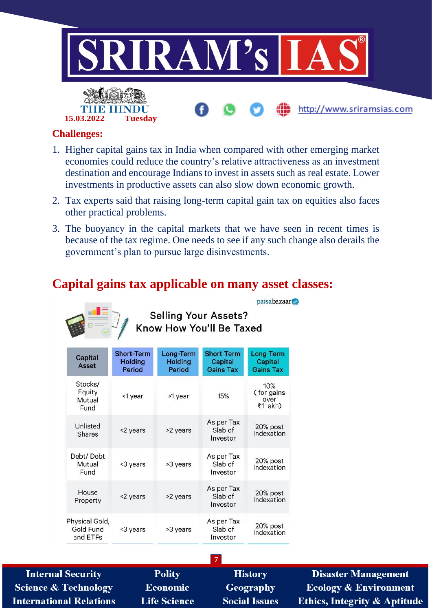

#### **Challenges:**

**15.03.2022 Tuesday**

- 1. Higher capital gains tax in India when compared with other emerging market economies could reduce the country's relative attractiveness as an investment destination and encourage Indians to invest in assets such as real estate. Lower investments in productive assets can also slow down economic growth.
- 2. Tax experts said that raising long-term capital gain tax on equities also faces other practical problems.
- 3. The buoyancy in the capital markets that we have seen in recent times is because of the tax regime. One needs to see if any such change also derails the government's plan to pursue large disinvestments.

paisabazaar

## **Capital gains tax applicable on many asset classes:**



Selling Your Assets?<br>Know How You'll Be Taxed

| <b>Capital</b><br>Asset                 | <b>Short-Term</b><br><b>Holding</b><br><b>Period</b> | Long-Term<br><b>Holding</b><br><b>Period</b> | <b>Short Term</b><br><b>Capital</b><br><b>Gains Tax</b> | <b>Long Term</b><br><b>Capital</b><br><b>Gains Tax</b> |
|-----------------------------------------|------------------------------------------------------|----------------------------------------------|---------------------------------------------------------|--------------------------------------------------------|
| Stocks/<br>Equity<br>Mutual<br>Fund     | <1 year                                              | >1 year                                      | 15%                                                     | 10%<br>(for gains<br>over<br>₹1 lakh)                  |
| Unlisted<br><b>Shares</b>               | <2 years                                             | >2 years                                     | As per Tax<br>Slab of<br>Investor                       | 20% post<br>Indexation                                 |
| Debt/Debt<br>Mutual<br>Fund             | <3 years                                             | >3 years                                     | As per Tax<br>Slab of<br>Investor                       | 20% post<br>Indexation                                 |
| House<br>Property                       | <2 years                                             | >2 years                                     | As per Tax<br>Slab of<br>Investor                       | 20% post<br>Indexation                                 |
| Physical Gold,<br>Gold Fund<br>and ETFs | <3 years                                             | >3 years                                     | As per Tax<br>Slab of<br>Investor                       | 20% post<br>Indexation                                 |

**Internal Security Science & Technology International Relations** 

**Polity Economic Life Science**  **7 History** Geography **Social Issues** 

**Disaster Management Ecology & Environment Ethics, Integrity & Aptitude**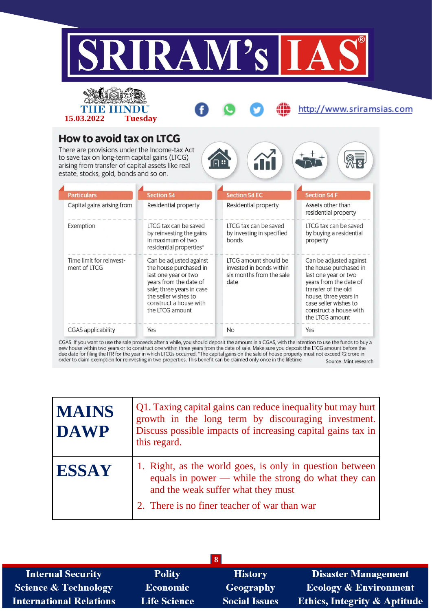



http://www.sriramsias.com

 $\mathbb{Q}_{\overline{\mathsf{R}}}$ 

## **How to avoid tax on LTCG**

There are provisions under the Income-tax Act to save tax on long-term capital gains (LTCG) arising from transfer of capital assets like real estate, stocks, gold, bonds and so on.

| <b>Particulars</b>                       | <b>Section 54</b>                                                                                                                                                                                     | <b>Section 54 EC</b>                                                                  | <b>Section 54 F</b>                                                                                                                                                                                                       |
|------------------------------------------|-------------------------------------------------------------------------------------------------------------------------------------------------------------------------------------------------------|---------------------------------------------------------------------------------------|---------------------------------------------------------------------------------------------------------------------------------------------------------------------------------------------------------------------------|
| Capital gains arising from               | Residential property                                                                                                                                                                                  | Residential property                                                                  | Assets other than<br>residential property                                                                                                                                                                                 |
| Exemption                                | LTCG tax can be saved<br>by reinvesting the gains<br>in maximum of two<br>residential properties*                                                                                                     | LTCG tax can be saved<br>by investing in specified<br>bonds                           | LTCG tax can be saved<br>by buying a residential<br>property                                                                                                                                                              |
| Time limit for reinvest-<br>ment of LTCG | Can be adjusted against<br>the house purchased in<br>last one year or two<br>years from the date of<br>sale; three years in case<br>the seller wishes to<br>construct a house with<br>the LTCG amount | LTCG amount should be<br>invested in bonds within<br>six months from the sale<br>date | Can be adjusted against<br>the house purchased in<br>last one year or two<br>years from the date of<br>transfer of the old<br>house; three years in<br>case seller wishes to<br>construct a house with<br>the LTCG amount |
| <b>CGAS</b> applicability                | Yes                                                                                                                                                                                                   | <b>No</b>                                                                             | Yes                                                                                                                                                                                                                       |

 $\Box$ 

 $\alpha$  by warn to use the sale process are a while, you should deposit the anional may construct one within three years from the date of sale. Make sure you deposit the LTCG amount before the due date for filing the ITR for Source: Mint research

| <b>MAINS</b><br><b>DAWP</b> | Q1. Taxing capital gains can reduce inequality but may hurt<br>growth in the long term by discouraging investment.<br>Discuss possible impacts of increasing capital gains tax in<br>this regard.     |
|-----------------------------|-------------------------------------------------------------------------------------------------------------------------------------------------------------------------------------------------------|
| <b>ESSAY</b>                | 1. Right, as the world goes, is only in question between<br>equals in power — while the strong do what they can<br>and the weak suffer what they must<br>2. There is no finer teacher of war than war |

| $\overline{\mathbf{8}}$         |                     |                      |                                         |  |
|---------------------------------|---------------------|----------------------|-----------------------------------------|--|
| <b>Internal Security</b>        | <b>Polity</b>       | <b>History</b>       | <b>Disaster Management</b>              |  |
| <b>Science &amp; Technology</b> | Economic            | <b>Geography</b>     | <b>Ecology &amp; Environment</b>        |  |
| <b>International Relations</b>  | <b>Life Science</b> | <b>Social Issues</b> | <b>Ethics, Integrity &amp; Aptitude</b> |  |